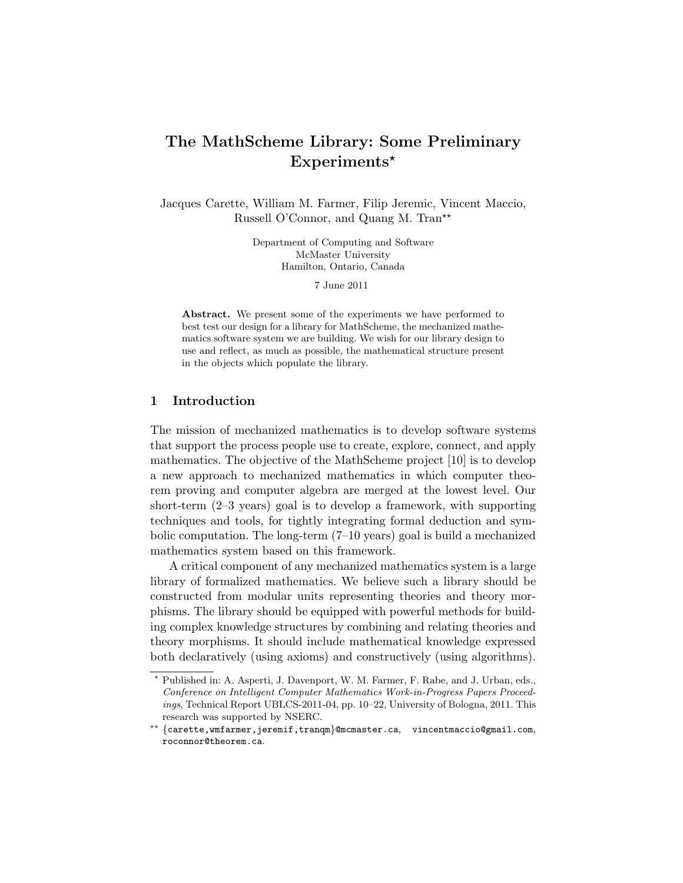# The MathScheme Library: Some Preliminary  $Experiments*$

Jacques Carette, William M. Farmer, Filip Jeremic, Vincent Maccio, Russell O'Connor, and Quang M. Tran<sup>\*\*</sup>

> Department of Computing and Software McMaster University Hamilton, Ontario, Canada

> > 7 June 2011

Abstract. We present some of the experiments we have performed to best test our design for a library for MathScheme, the mechanized mathematics software system we are building. We wish for our library design to use and reflect, as much as possible, the mathematical structure present in the objects which populate the library.

# 1 Introduction

The mission of mechanized mathematics is to develop software systems that support the process people use to create, explore, connect, and apply mathematics. The objective of the MathScheme project [10] is to develop a new approach to mechanized mathematics in which computer theorem proving and computer algebra are merged at the lowest level. Our short-term (2–3 years) goal is to develop a framework, with supporting techniques and tools, for tightly integrating formal deduction and symbolic computation. The long-term (7–10 years) goal is build a mechanized mathematics system based on this framework.

A critical component of any mechanized mathematics system is a large library of formalized mathematics. We believe such a library should be constructed from modular units representing theories and theory morphisms. The library should be equipped with powerful methods for building complex knowledge structures by combining and relating theories and theory morphisms. It should include mathematical knowledge expressed both declaratively (using axioms) and constructively (using algorithms).

<sup>⋆</sup> Published in: A. Asperti, J. Davenport, W. M. Farmer, F. Rabe, and J. Urban, eds., *Conference on Intelligent Computer Mathematics Work-in-Progress Papers Proceedings*, Technical Report UBLCS-2011-04, pp. 10–22, University of Bologna, 2011. This research was supported by NSERC.

<sup>⋆⋆</sup> {carette,wmfarmer,jeremif,tranqm}@mcmaster.ca, vincentmaccio@gmail.com, roconnor@theorem.ca.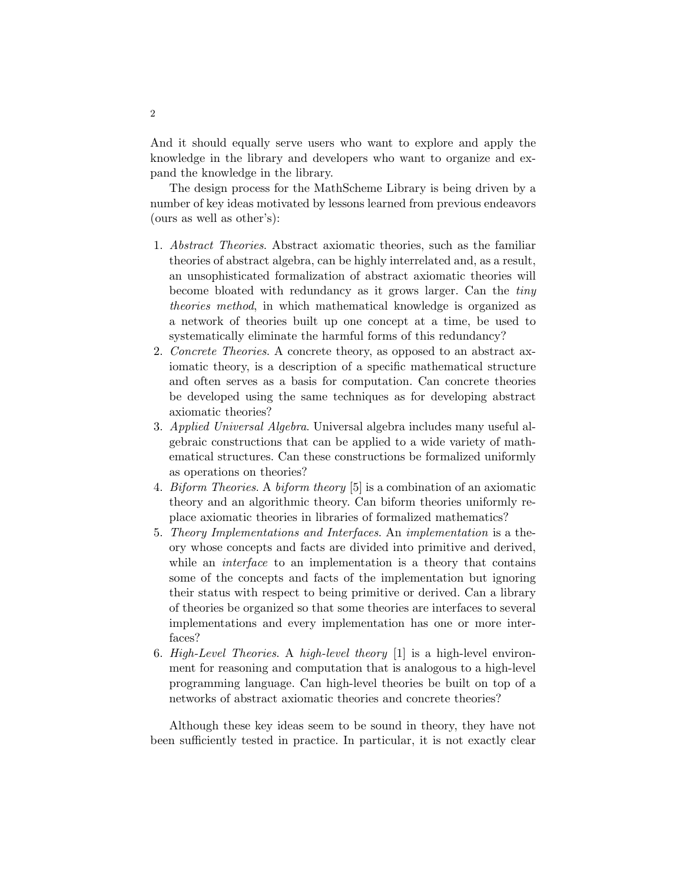And it should equally serve users who want to explore and apply the knowledge in the library and developers who want to organize and expand the knowledge in the library.

The design process for the MathScheme Library is being driven by a number of key ideas motivated by lessons learned from previous endeavors (ours as well as other's):

- 1. Abstract Theories. Abstract axiomatic theories, such as the familiar theories of abstract algebra, can be highly interrelated and, as a result, an unsophisticated formalization of abstract axiomatic theories will become bloated with redundancy as it grows larger. Can the tiny theories method, in which mathematical knowledge is organized as a network of theories built up one concept at a time, be used to systematically eliminate the harmful forms of this redundancy?
- 2. Concrete Theories. A concrete theory, as opposed to an abstract axiomatic theory, is a description of a specific mathematical structure and often serves as a basis for computation. Can concrete theories be developed using the same techniques as for developing abstract axiomatic theories?
- 3. Applied Universal Algebra. Universal algebra includes many useful algebraic constructions that can be applied to a wide variety of mathematical structures. Can these constructions be formalized uniformly as operations on theories?
- 4. Biform Theories. A biform theory [5] is a combination of an axiomatic theory and an algorithmic theory. Can biform theories uniformly replace axiomatic theories in libraries of formalized mathematics?
- 5. Theory Implementations and Interfaces. An implementation is a theory whose concepts and facts are divided into primitive and derived, while an *interface* to an implementation is a theory that contains some of the concepts and facts of the implementation but ignoring their status with respect to being primitive or derived. Can a library of theories be organized so that some theories are interfaces to several implementations and every implementation has one or more interfaces?
- 6. High-Level Theories. A high-level theory [1] is a high-level environment for reasoning and computation that is analogous to a high-level programming language. Can high-level theories be built on top of a networks of abstract axiomatic theories and concrete theories?

Although these key ideas seem to be sound in theory, they have not been sufficiently tested in practice. In particular, it is not exactly clear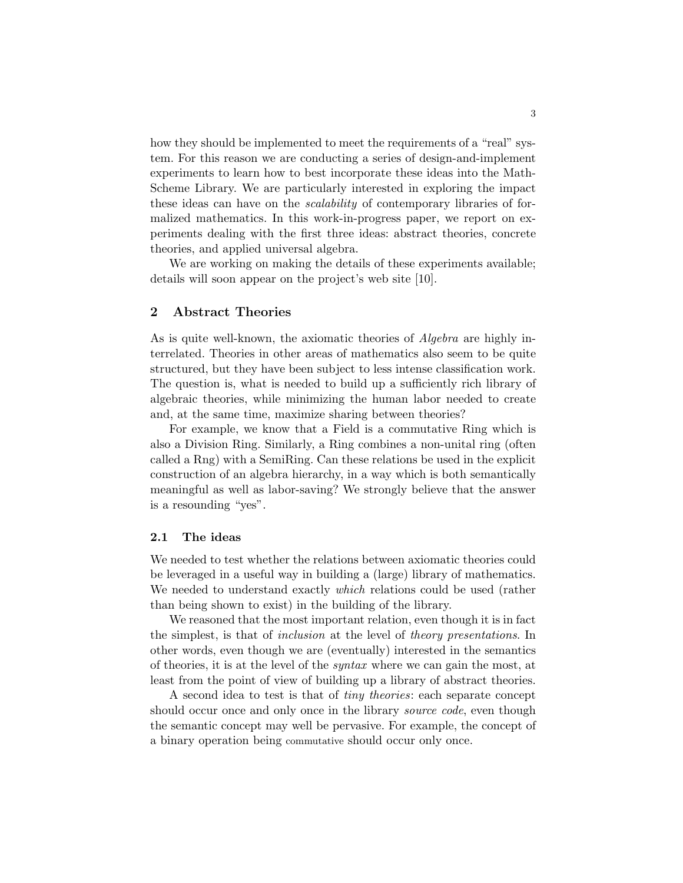how they should be implemented to meet the requirements of a "real" system. For this reason we are conducting a series of design-and-implement experiments to learn how to best incorporate these ideas into the Math-Scheme Library. We are particularly interested in exploring the impact these ideas can have on the scalability of contemporary libraries of formalized mathematics. In this work-in-progress paper, we report on experiments dealing with the first three ideas: abstract theories, concrete theories, and applied universal algebra.

We are working on making the details of these experiments available; details will soon appear on the project's web site [10].

# 2 Abstract Theories

As is quite well-known, the axiomatic theories of Algebra are highly interrelated. Theories in other areas of mathematics also seem to be quite structured, but they have been subject to less intense classification work. The question is, what is needed to build up a sufficiently rich library of algebraic theories, while minimizing the human labor needed to create and, at the same time, maximize sharing between theories?

For example, we know that a Field is a commutative Ring which is also a Division Ring. Similarly, a Ring combines a non-unital ring (often called a Rng) with a SemiRing. Can these relations be used in the explicit construction of an algebra hierarchy, in a way which is both semantically meaningful as well as labor-saving? We strongly believe that the answer is a resounding "yes".

#### 2.1 The ideas

We needed to test whether the relations between axiomatic theories could be leveraged in a useful way in building a (large) library of mathematics. We needed to understand exactly *which* relations could be used (rather than being shown to exist) in the building of the library.

We reasoned that the most important relation, even though it is in fact the simplest, is that of inclusion at the level of theory presentations. In other words, even though we are (eventually) interested in the semantics of theories, it is at the level of the syntax where we can gain the most, at least from the point of view of building up a library of abstract theories.

A second idea to test is that of tiny theories: each separate concept should occur once and only once in the library *source code*, even though the semantic concept may well be pervasive. For example, the concept of a binary operation being commutative should occur only once.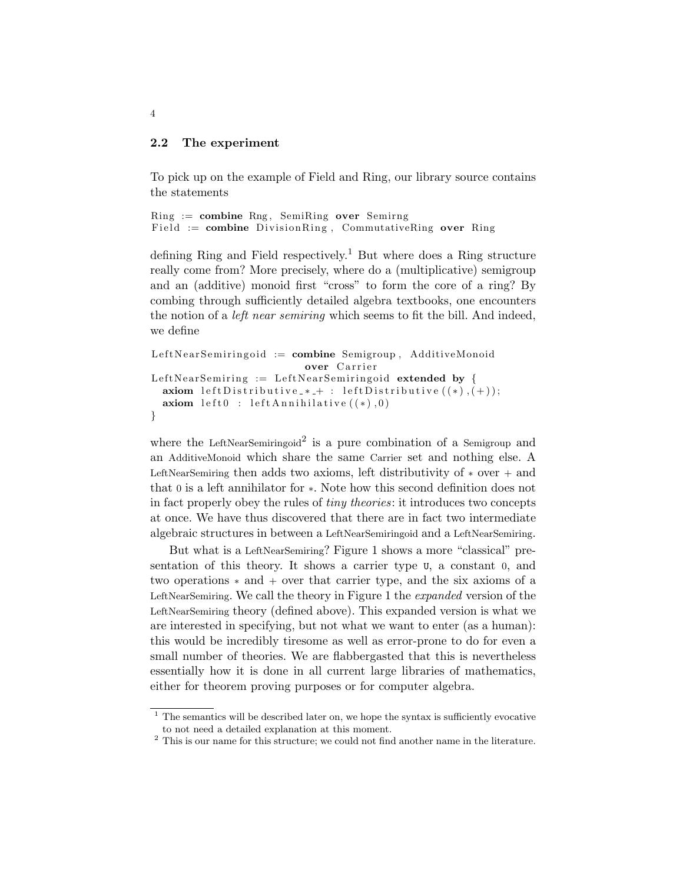## 2.2 The experiment

To pick up on the example of Field and Ring, our library source contains the statements

```
Ring := combine Rng, SemiRing over SemirngField := combine DivisionRing, CommutativeRing over Ring
```
defining Ring and Field respectively.<sup>1</sup> But where does a Ring structure really come from? More precisely, where do a (multiplicative) semigroup and an (additive) monoid first "cross" to form the core of a ring? By combing through sufficiently detailed algebra textbooks, one encounters the notion of a left near semiring which seems to fit the bill. And indeed, we define

```
LeftNearSemiringoid := combine Semigroup, AdditiveMonoidover Carrier
LeftNearSemiring := LeftNearSemiringoid extended by {
  axiom left Distributive *+: left Distributive ((*), (+);
  axiom \; left0 \; : \; leftAnnihilative \; ((*) , 0)}
```
where the LeftNearSemiringoid<sup>2</sup> is a pure combination of a Semigroup and an AdditiveMonoid which share the same Carrier set and nothing else. A LeftNearSemiring then adds two axioms, left distributivity of  $*$  over  $+$  and that 0 is a left annihilator for ∗. Note how this second definition does not in fact properly obey the rules of tiny theories: it introduces two concepts at once. We have thus discovered that there are in fact two intermediate algebraic structures in between a LeftNearSemiringoid and a LeftNearSemiring.

But what is a LeftNearSemiring? Figure 1 shows a more "classical" presentation of this theory. It shows a carrier type U, a constant 0, and two operations ∗ and + over that carrier type, and the six axioms of a LeftNearSemiring. We call the theory in Figure 1 the expanded version of the LeftNearSemiring theory (defined above). This expanded version is what we are interested in specifying, but not what we want to enter (as a human): this would be incredibly tiresome as well as error-prone to do for even a small number of theories. We are flabbergasted that this is nevertheless essentially how it is done in all current large libraries of mathematics, either for theorem proving purposes or for computer algebra.

 $1$ <sup>1</sup> The semantics will be described later on, we hope the syntax is sufficiently evocative to not need a detailed explanation at this moment.

 $^{\rm 2}$  This is our name for this structure; we could not find another name in the literature.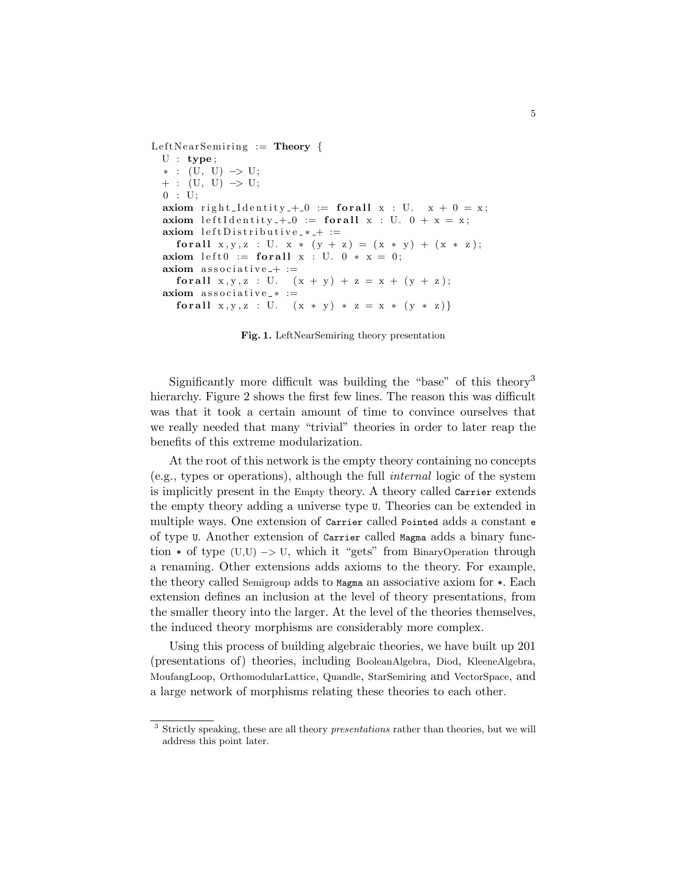LeftNearSemiring  $:=$  Theory {  $U : type;$ ∗ : (U, U) −> U;  $+$  : (U, U)  $\rightarrow$  U;  $0$  : U; axiom right\_Identity\_+\_0 := for all  $x : U$ .  $x + 0 = x$ ; axiom left I d entity  $+10 :=$  for all  $x : U. 0 + x = x;$  $axiom$  left Distributive\_ $*$ \_ $+$  := for all  $x, y, z : U. x * (y + z) = (x * y) + (x * z);$ axiom left $0 :=$  for all  $x : U$ .  $0 * x = 0$ ;  $axiom$  associative<sub>-+</sub> := for all  $x, y, z : U.$   $(x + y) + z = x + (y + z);$  $axiom$  associative\_ $* :=$ for all  $x, y, z : U.$   $(x * y) * z = x * (y * z)$ 

Fig. 1. LeftNearSemiring theory presentation

Significantly more difficult was building the "base" of this theory<sup>3</sup> hierarchy. Figure 2 shows the first few lines. The reason this was difficult was that it took a certain amount of time to convince ourselves that we really needed that many "trivial" theories in order to later reap the benefits of this extreme modularization.

At the root of this network is the empty theory containing no concepts (e.g., types or operations), although the full internal logic of the system is implicitly present in the Empty theory. A theory called Carrier extends the empty theory adding a universe type U. Theories can be extended in multiple ways. One extension of Carrier called Pointed adds a constant e of type U. Another extension of Carrier called Magma adds a binary function  $*$  of type (U,U)  $\rightarrow$  U, which it "gets" from BinaryOperation through a renaming. Other extensions adds axioms to the theory. For example, the theory called Semigroup adds to Magma an associative axiom for \*. Each extension defines an inclusion at the level of theory presentations, from the smaller theory into the larger. At the level of the theories themselves, the induced theory morphisms are considerably more complex.

Using this process of building algebraic theories, we have built up 201 (presentations of) theories, including BooleanAlgebra, Diod, KleeneAlgebra, MoufangLoop, OrthomodularLattice, Quandle, StarSemiring and VectorSpace, and a large network of morphisms relating these theories to each other.

<sup>3</sup> Strictly speaking, these are all theory *presentations* rather than theories, but we will address this point later.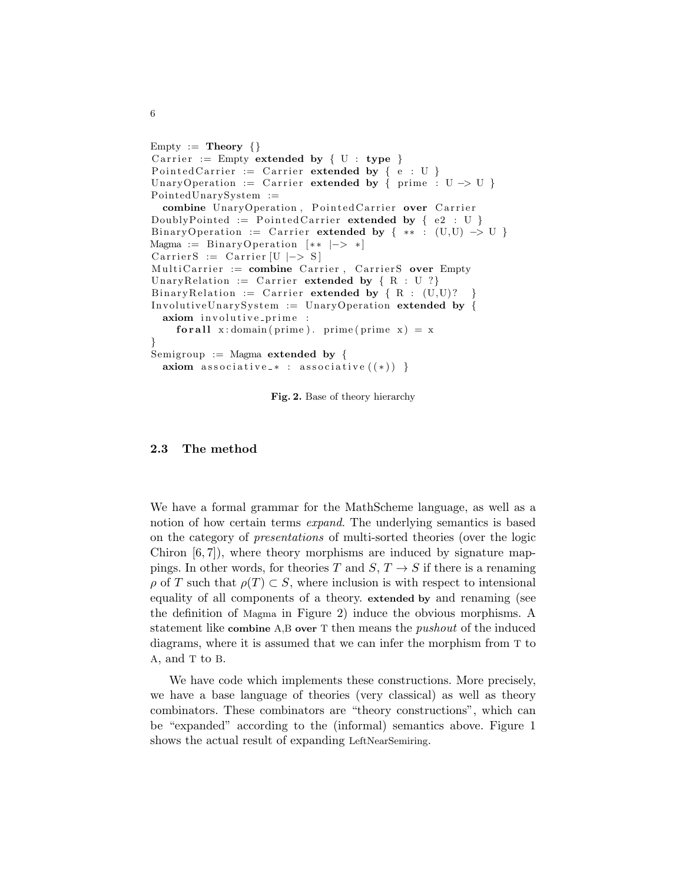```
Empty := Theory \{\}Carrier := Empty extended by { U : type }
Pointed Carrier := Carrier extended by {e : U}UnaryOperation := Carrier extended by { prime : U -> U }
PointedUnarySystem :=
  combine UnaryOperation, PointedCarrier over Carrier
DoublyPointed := Pointed Carrier extended by \{e2 : U\}BinaryOperation := Carrier extended by { ** : (U,U) \rightarrow U }
Magma := BinaryOperation [**|->*]CarrierS := Carrier [U |-> S]MultiCarrier := combine Carrier, CarrierS over Empty
UnaryRelation := Carrier extended by \{ R : U ? \}BinaryRelation := Carrier extended by {R : (U,U)?
InvolutiveUnarySystem := UnaryOperation extended by {
  axiom involutive_prime :
    for all x: domain ( prime ). prime ( prime x ) = x
}
Semigroup := Magma extended by {
 axiom associative_* : associative ((*) }
```
Fig. 2. Base of theory hierarchy

## 2.3 The method

We have a formal grammar for the MathScheme language, as well as a notion of how certain terms *expand*. The underlying semantics is based on the category of presentations of multi-sorted theories (over the logic Chiron  $[6, 7]$ , where theory morphisms are induced by signature mappings. In other words, for theories T and  $S, T \rightarrow S$  if there is a renaming  $\rho$  of T such that  $\rho(T) \subset S$ , where inclusion is with respect to intensional equality of all components of a theory. extended by and renaming (see the definition of Magma in Figure 2) induce the obvious morphisms. A statement like combine A,B over T then means the pushout of the induced diagrams, where it is assumed that we can infer the morphism from T to A, and T to B.

We have code which implements these constructions. More precisely, we have a base language of theories (very classical) as well as theory combinators. These combinators are "theory constructions", which can be "expanded" according to the (informal) semantics above. Figure 1 shows the actual result of expanding LeftNearSemiring.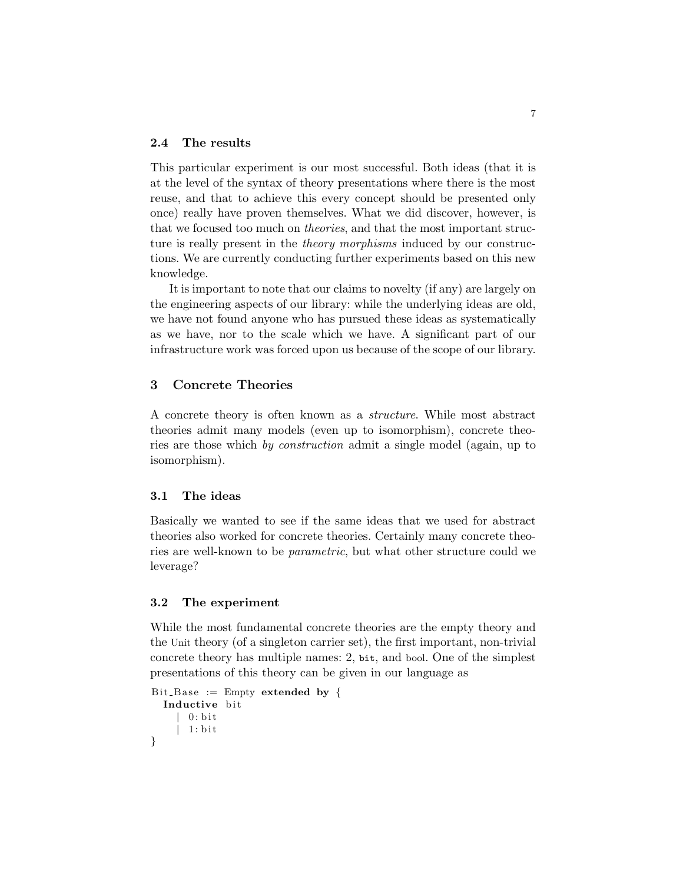## 2.4 The results

This particular experiment is our most successful. Both ideas (that it is at the level of the syntax of theory presentations where there is the most reuse, and that to achieve this every concept should be presented only once) really have proven themselves. What we did discover, however, is that we focused too much on theories, and that the most important structure is really present in the theory morphisms induced by our constructions. We are currently conducting further experiments based on this new knowledge.

It is important to note that our claims to novelty (if any) are largely on the engineering aspects of our library: while the underlying ideas are old, we have not found anyone who has pursued these ideas as systematically as we have, nor to the scale which we have. A significant part of our infrastructure work was forced upon us because of the scope of our library.

# 3 Concrete Theories

A concrete theory is often known as a structure. While most abstract theories admit many models (even up to isomorphism), concrete theories are those which by construction admit a single model (again, up to isomorphism).

# 3.1 The ideas

Basically we wanted to see if the same ideas that we used for abstract theories also worked for concrete theories. Certainly many concrete theories are well-known to be parametric, but what other structure could we leverage?

#### 3.2 The experiment

While the most fundamental concrete theories are the empty theory and the Unit theory (of a singleton carrier set), the first important, non-trivial concrete theory has multiple names: 2, bit, and bool. One of the simplest presentations of this theory can be given in our language as

```
Bit_Base := Empty extended by {
  Inductive bit
    | 0 : bit| 1 : b i t
}
```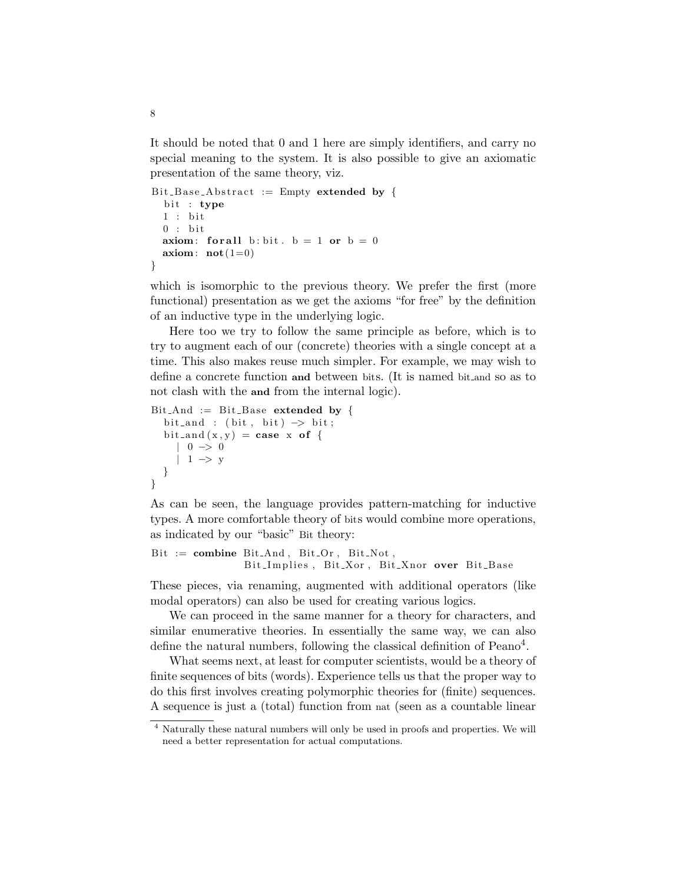It should be noted that 0 and 1 here are simply identifiers, and carry no special meaning to the system. It is also possible to give an axiomatic presentation of the same theory, viz.

```
Bit_Base_Abstract := Empty extended by {
  bit : type
  1: bit0 : bitaxiom: for all b: bit . b = 1 or b = 0axiom: \textbf{not}(1=0)}
```
which is isomorphic to the previous theory. We prefer the first (more functional) presentation as we get the axioms "for free" by the definition of an inductive type in the underlying logic.

Here too we try to follow the same principle as before, which is to try to augment each of our (concrete) theories with a single concept at a time. This also makes reuse much simpler. For example, we may wish to define a concrete function and between bits. (It is named bit and so as to not clash with the and from the internal logic).

```
Bit_And := Bit_Base extended by {
  bit_and : (bit, bit) \Rightarrow bit;bit_and (x, y) = \case x of {
     | 0 \implies 0| 1 \Rightarrow y}
}
```
As can be seen, the language provides pattern-matching for inductive types. A more comfortable theory of bits would combine more operations, as indicated by our "basic" Bit theory:

```
Bit := combine Bit\_And, Bit\_Or, Bit\_Not,
               Bit Implies, Bit Xor, Bit Xnor over Bit Base
```
These pieces, via renaming, augmented with additional operators (like modal operators) can also be used for creating various logics.

We can proceed in the same manner for a theory for characters, and similar enumerative theories. In essentially the same way, we can also define the natural numbers, following the classical definition of Peano<sup>4</sup>.

What seems next, at least for computer scientists, would be a theory of finite sequences of bits (words). Experience tells us that the proper way to do this first involves creating polymorphic theories for (finite) sequences. A sequence is just a (total) function from nat (seen as a countable linear

8

<sup>4</sup> Naturally these natural numbers will only be used in proofs and properties. We will need a better representation for actual computations.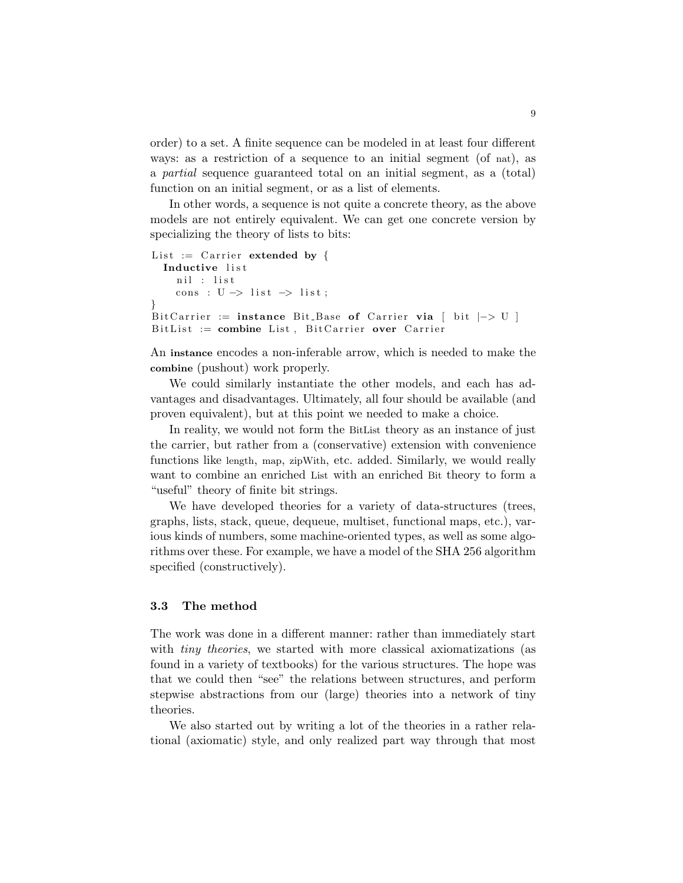order) to a set. A finite sequence can be modeled in at least four different ways: as a restriction of a sequence to an initial segment (of nat), as a partial sequence guaranteed total on an initial segment, as a (total) function on an initial segment, or as a list of elements.

In other words, a sequence is not quite a concrete theory, as the above models are not entirely equivalent. We can get one concrete version by specializing the theory of lists to bits:

```
List := Carrier extended by {
  Inductive list
    nil : list
    cons : U \rightarrow list \rightarrow list ;}
Bit Carrier := instance Bit Base of Carrier via [ bit |-> U|BitList := combine List, BitCarrier over Carrier
```
An instance encodes a non-inferable arrow, which is needed to make the combine (pushout) work properly.

We could similarly instantiate the other models, and each has advantages and disadvantages. Ultimately, all four should be available (and proven equivalent), but at this point we needed to make a choice.

In reality, we would not form the BitList theory as an instance of just the carrier, but rather from a (conservative) extension with convenience functions like length, map, zipWith, etc. added. Similarly, we would really want to combine an enriched List with an enriched Bit theory to form a "useful" theory of finite bit strings.

We have developed theories for a variety of data-structures (trees, graphs, lists, stack, queue, dequeue, multiset, functional maps, etc.), various kinds of numbers, some machine-oriented types, as well as some algorithms over these. For example, we have a model of the SHA 256 algorithm specified (constructively).

# 3.3 The method

The work was done in a different manner: rather than immediately start with *tiny theories*, we started with more classical axiomatizations (as found in a variety of textbooks) for the various structures. The hope was that we could then "see" the relations between structures, and perform stepwise abstractions from our (large) theories into a network of tiny theories.

We also started out by writing a lot of the theories in a rather relational (axiomatic) style, and only realized part way through that most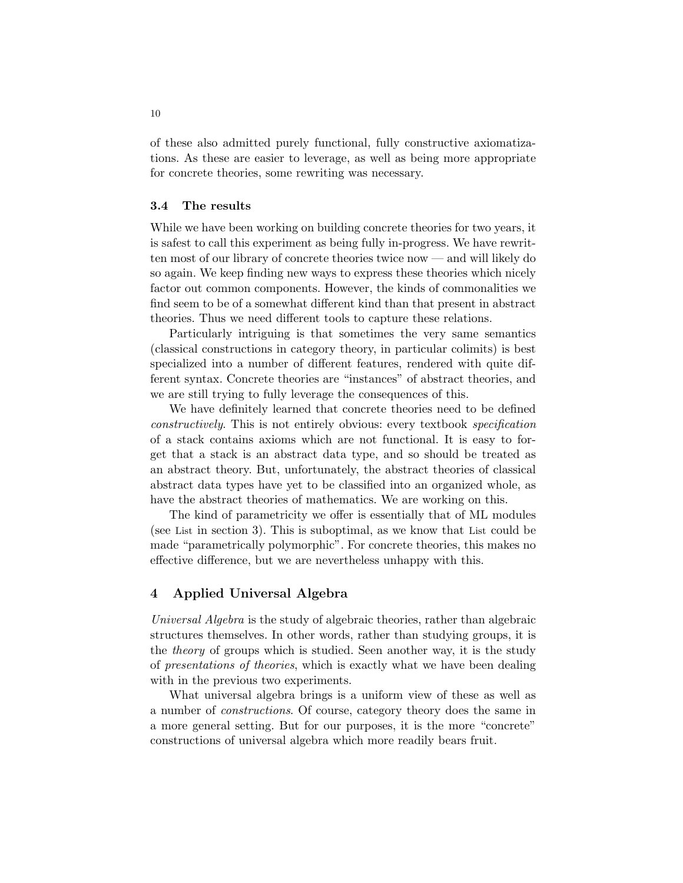of these also admitted purely functional, fully constructive axiomatizations. As these are easier to leverage, as well as being more appropriate for concrete theories, some rewriting was necessary.

#### 3.4 The results

While we have been working on building concrete theories for two years, it is safest to call this experiment as being fully in-progress. We have rewritten most of our library of concrete theories twice now — and will likely do so again. We keep finding new ways to express these theories which nicely factor out common components. However, the kinds of commonalities we find seem to be of a somewhat different kind than that present in abstract theories. Thus we need different tools to capture these relations.

Particularly intriguing is that sometimes the very same semantics (classical constructions in category theory, in particular colimits) is best specialized into a number of different features, rendered with quite different syntax. Concrete theories are "instances" of abstract theories, and we are still trying to fully leverage the consequences of this.

We have definitely learned that concrete theories need to be defined constructively. This is not entirely obvious: every textbook specification of a stack contains axioms which are not functional. It is easy to forget that a stack is an abstract data type, and so should be treated as an abstract theory. But, unfortunately, the abstract theories of classical abstract data types have yet to be classified into an organized whole, as have the abstract theories of mathematics. We are working on this.

The kind of parametricity we offer is essentially that of ML modules (see List in section 3). This is suboptimal, as we know that List could be made "parametrically polymorphic". For concrete theories, this makes no effective difference, but we are nevertheless unhappy with this.

## 4 Applied Universal Algebra

Universal Algebra is the study of algebraic theories, rather than algebraic structures themselves. In other words, rather than studying groups, it is the theory of groups which is studied. Seen another way, it is the study of presentations of theories, which is exactly what we have been dealing with in the previous two experiments.

What universal algebra brings is a uniform view of these as well as a number of constructions. Of course, category theory does the same in a more general setting. But for our purposes, it is the more "concrete" constructions of universal algebra which more readily bears fruit.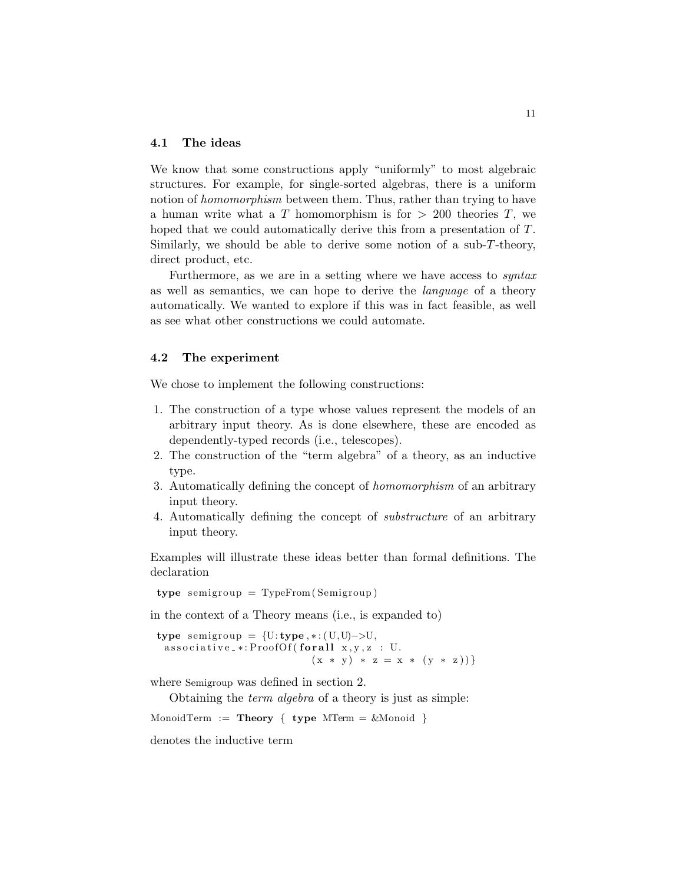### 4.1 The ideas

We know that some constructions apply "uniformly" to most algebraic structures. For example, for single-sorted algebras, there is a uniform notion of *homomorphism* between them. Thus, rather than trying to have a human write what a T homomorphism is for  $> 200$  theories T, we hoped that we could automatically derive this from a presentation of T. Similarly, we should be able to derive some notion of a sub-T-theory, direct product, etc.

Furthermore, as we are in a setting where we have access to syntax as well as semantics, we can hope to derive the language of a theory automatically. We wanted to explore if this was in fact feasible, as well as see what other constructions we could automate.

#### 4.2 The experiment

We chose to implement the following constructions:

- 1. The construction of a type whose values represent the models of an arbitrary input theory. As is done elsewhere, these are encoded as dependently-typed records (i.e., telescopes).
- 2. The construction of the "term algebra" of a theory, as an inductive type.
- 3. Automatically defining the concept of homomorphism of an arbitrary input theory.
- 4. Automatically defining the concept of substructure of an arbitrary input theory.

Examples will illustrate these ideas better than formal definitions. The declaration

type semigroup  $=$  TypeFrom (Semigroup)

in the context of a Theory means (i.e., is expanded to)

type semigroup =  $\{U: \text{type}, *:(U, U) \rightarrow U,$  $\text{associative}_{-*}: \text{ProofOf}(\text{for all } x, y, z : U.$  $(x * y) * z = x * (y * z))$ 

where Semigroup was defined in section 2.

Obtaining the term algebra of a theory is just as simple:

MonoidTerm := Theory  $\{ \text{type MTerm} = \& \text{Monoid} \}$ 

denotes the inductive term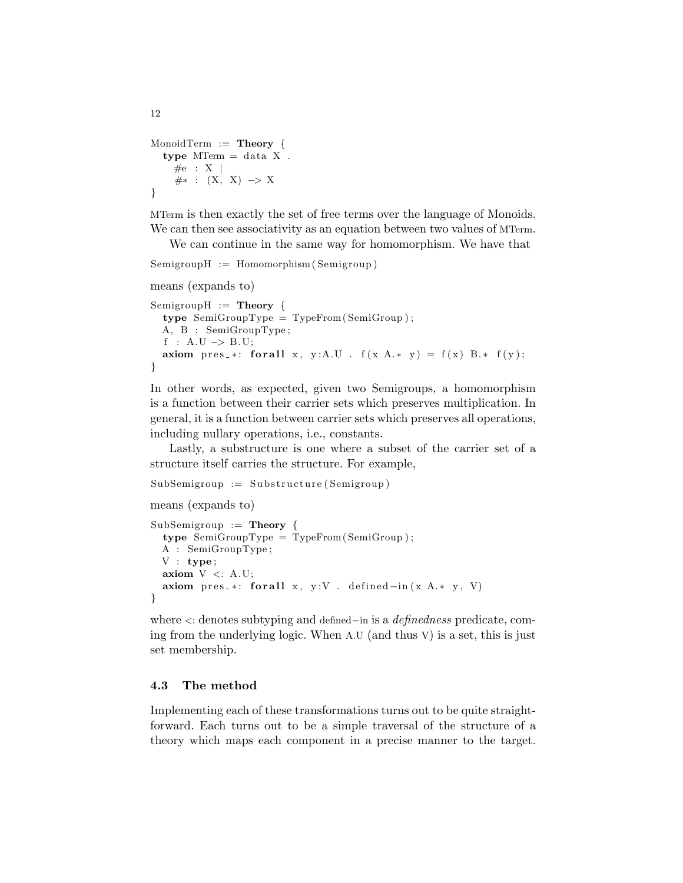```
MonoidTerm := Theory {
  type MTerm = data X.
    \#e : X\#* : (X, X) \rightarrow X}
```
MTerm is then exactly the set of free terms over the language of Monoids. We can then see associativity as an equation between two values of MTerm.

We can continue in the same way for homomorphism. We have that

```
SemigroupH := Homomorphism(Semigroup)
```

```
means (expands to)
SemigroupH := Theory {
  type\ SemiGroupType = TypeFrom (SemiGroup);
  A, B : SemiGroupType ;
  f : A.U \rightarrow B.U;
  axiom pres_*: for all x, y:A.U . f(x A.* y) = f(x) B.* f(y);}
```
In other words, as expected, given two Semigroups, a homomorphism is a function between their carrier sets which preserves multiplication. In general, it is a function between carrier sets which preserves all operations, including nullary operations, i.e., constants.

Lastly, a substructure is one where a subset of the carrier set of a structure itself carries the structure. For example,

 $SubSemigroup := Substructure(Semigroup)$ 

```
means (expands to)
```

```
SubSemigroup := Theory {
 type SemiGroupType = TypeFrom(SemiGroup);A : SemiGroupType ;
 V : type;axiom V \leq: A.U;axiom pres_*: for all x, y:V . defined -in(x A.* y, V)}
```
where <: denotes subtyping and defined−in is a definedness predicate, coming from the underlying logic. When A.U (and thus V) is a set, this is just set membership.

# 4.3 The method

Implementing each of these transformations turns out to be quite straightforward. Each turns out to be a simple traversal of the structure of a theory which maps each component in a precise manner to the target.

12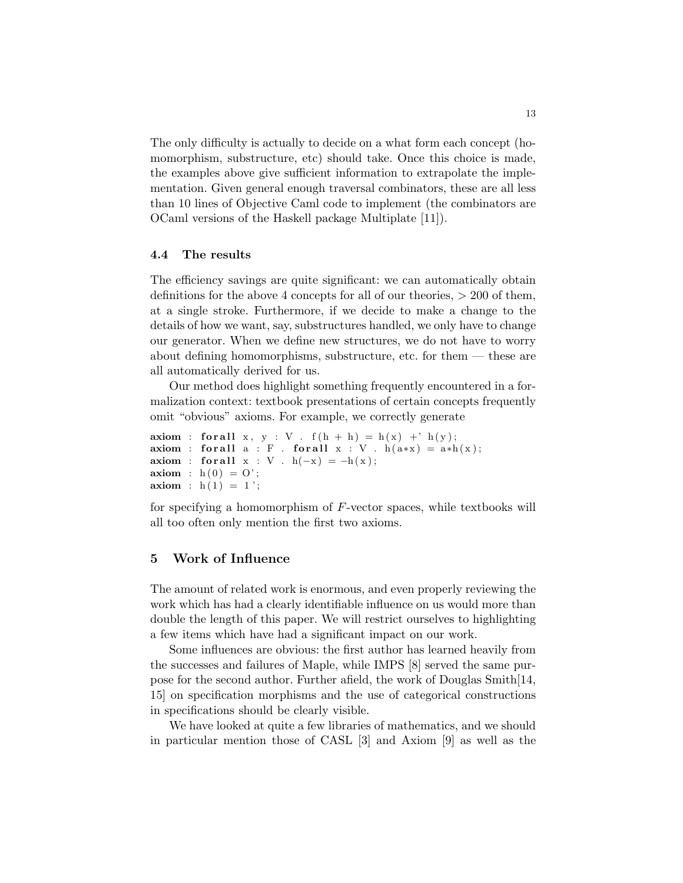The only difficulty is actually to decide on a what form each concept (homomorphism, substructure, etc) should take. Once this choice is made, the examples above give sufficient information to extrapolate the implementation. Given general enough traversal combinators, these are all less than 10 lines of Objective Caml code to implement (the combinators are OCaml versions of the Haskell package Multiplate [11]).

### 4.4 The results

The efficiency savings are quite significant: we can automatically obtain definitions for the above 4 concepts for all of our theories,  $> 200$  of them, at a single stroke. Furthermore, if we decide to make a change to the details of how we want, say, substructures handled, we only have to change our generator. When we define new structures, we do not have to worry about defining homomorphisms, substructure, etc. for them — these are all automatically derived for us.

Our method does highlight something frequently encountered in a formalization context: textbook presentations of certain concepts frequently omit "obvious" axioms. For example, we correctly generate

axiom : for all  $x$ ,  $y$  :  $V$ .  $f(h + h) = h(x) + h(y)$ ; axiom : for all  $a : F$ . for all  $x : V$ .  $h(a*x) = a*h(x);$ axiom : for all  $x : V$ .  $h(-x) = -h(x)$ ; axiom :  $h(0) = 0$ ; axiom :  $h(1) = 1$ ;

for specifying a homomorphism of F-vector spaces, while textbooks will all too often only mention the first two axioms.

# 5 Work of Influence

The amount of related work is enormous, and even properly reviewing the work which has had a clearly identifiable influence on us would more than double the length of this paper. We will restrict ourselves to highlighting a few items which have had a significant impact on our work.

Some influences are obvious: the first author has learned heavily from the successes and failures of Maple, while IMPS [8] served the same purpose for the second author. Further afield, the work of Douglas Smith[14, 15] on specification morphisms and the use of categorical constructions in specifications should be clearly visible.

We have looked at quite a few libraries of mathematics, and we should in particular mention those of CASL [3] and Axiom [9] as well as the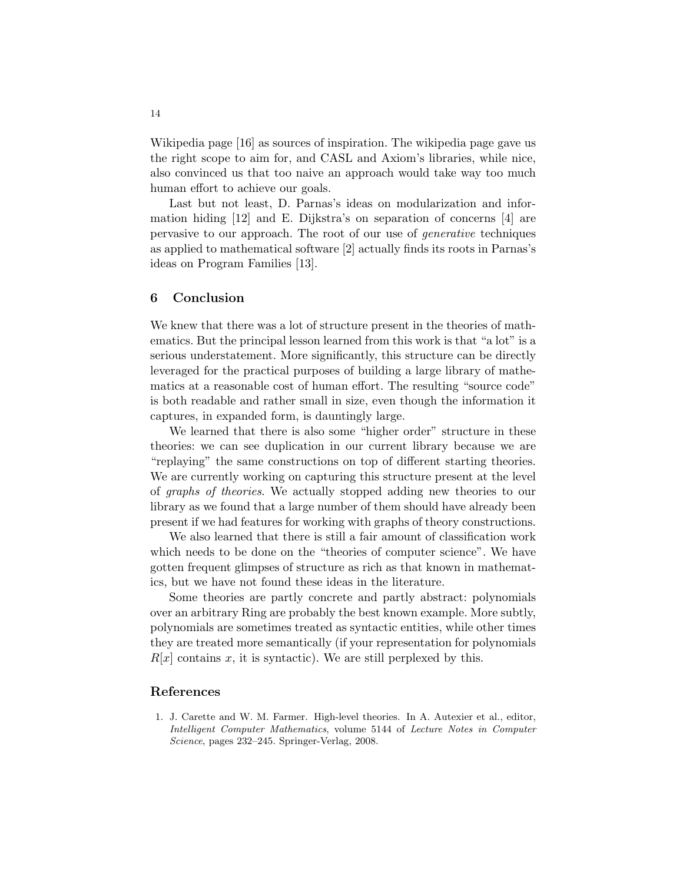Wikipedia page [16] as sources of inspiration. The wikipedia page gave us the right scope to aim for, and CASL and Axiom's libraries, while nice, also convinced us that too naive an approach would take way too much human effort to achieve our goals.

Last but not least, D. Parnas's ideas on modularization and information hiding [12] and E. Dijkstra's on separation of concerns [4] are pervasive to our approach. The root of our use of generative techniques as applied to mathematical software [2] actually finds its roots in Parnas's ideas on Program Families [13].

## 6 Conclusion

We knew that there was a lot of structure present in the theories of mathematics. But the principal lesson learned from this work is that "a lot" is a serious understatement. More significantly, this structure can be directly leveraged for the practical purposes of building a large library of mathematics at a reasonable cost of human effort. The resulting "source code" is both readable and rather small in size, even though the information it captures, in expanded form, is dauntingly large.

We learned that there is also some "higher order" structure in these theories: we can see duplication in our current library because we are "replaying" the same constructions on top of different starting theories. We are currently working on capturing this structure present at the level of graphs of theories. We actually stopped adding new theories to our library as we found that a large number of them should have already been present if we had features for working with graphs of theory constructions.

We also learned that there is still a fair amount of classification work which needs to be done on the "theories of computer science". We have gotten frequent glimpses of structure as rich as that known in mathematics, but we have not found these ideas in the literature.

Some theories are partly concrete and partly abstract: polynomials over an arbitrary Ring are probably the best known example. More subtly, polynomials are sometimes treated as syntactic entities, while other times they are treated more semantically (if your representation for polynomials  $R[x]$  contains x, it is syntactic). We are still perplexed by this.

## References

1. J. Carette and W. M. Farmer. High-level theories. In A. Autexier et al., editor, *Intelligent Computer Mathematics*, volume 5144 of *Lecture Notes in Computer Science*, pages 232–245. Springer-Verlag, 2008.